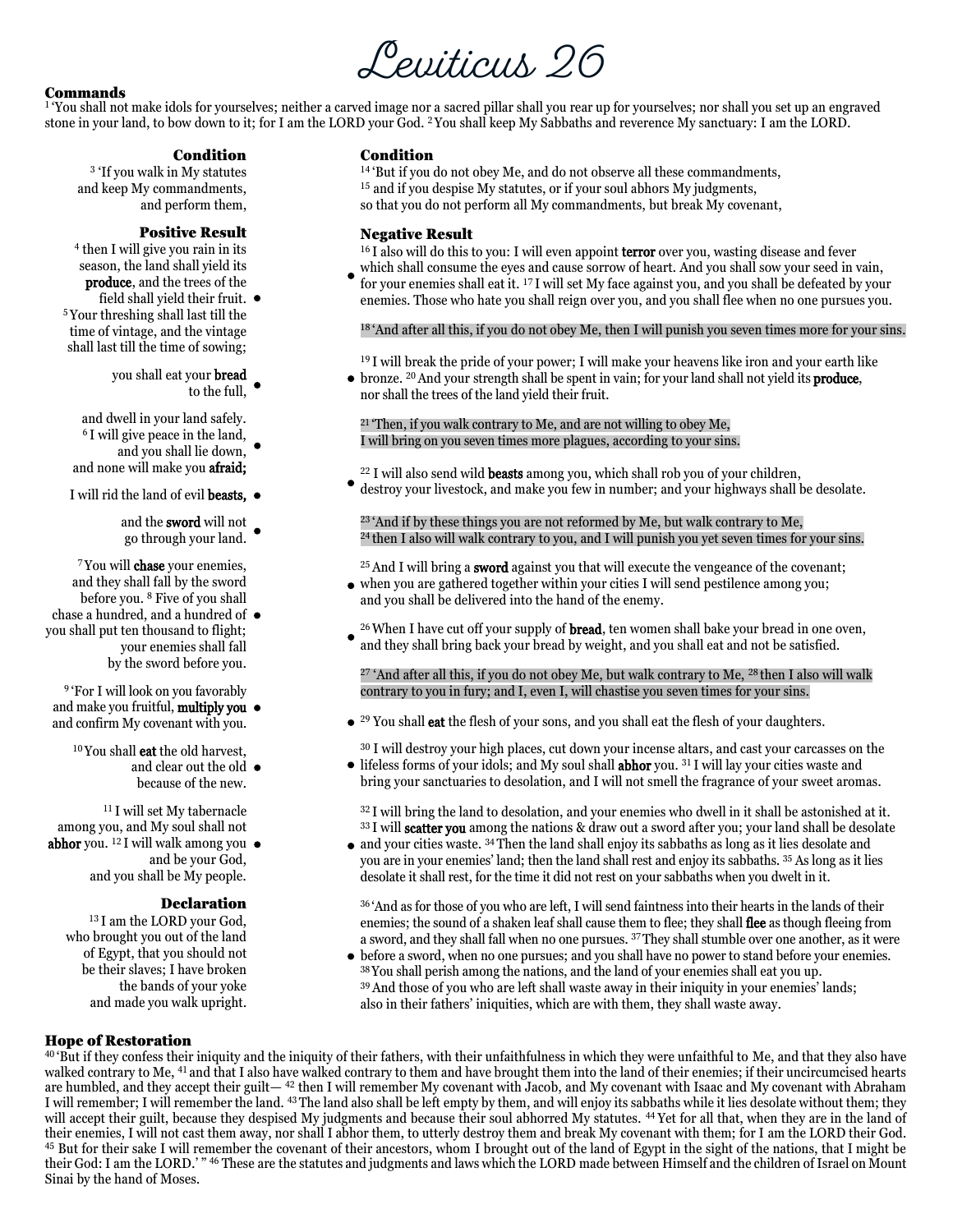# Leviticus 26

#### Commands

[1](http://biblehub.com/leviticus/26-1.htm) 'You shall not make idols for yourselves; neither a carved image nor a sacred pillar shall you rear up for yourselves; nor shall you set up an engraved stone in your land, to bow down to it; for I am the LORD your God[.](http://biblehub.com/leviticus/26-2.htm) <sup>2</sup> You shall keep My Sabbaths and reverence My sanctuary: I am the LORD.

#### Condition

[3](http://biblehub.com/leviticus/26-3.htm) 'If you walk in My statutes and keep My commandments, and perform them,

#### Positive Result

[4](http://biblehub.com/leviticus/26-4.htm) then I will give you rain in its season, the land shall yield its produce, and the trees of the

field shall yield their fruit. [5](http://biblehub.com/leviticus/26-5.htm) Your threshing shall last till the time of vintage, and the vintage shall last till the time of sowing;

you shall eat your **bread** to the full,

and dwell in your land safely. [6](http://biblehub.com/leviticus/26-6.htm) I will give peace in the land,

- and you shall lie down,  $\bullet$ and none will make you afraid;
- I will rid the land of evil **beasts**,  $\bullet$ 
	- and the sword will not go through your land.

[7](http://biblehub.com/leviticus/26-7.htm) You will chase your enemies, and they shall fall by the sword before you[.](http://biblehub.com/leviticus/26-8.htm) <sup>8</sup> Five of you shall

 you shall put ten thousand to flight; chase a hundred, and a hundred of your enemies shall fall by the sword before you.

[9](http://biblehub.com/leviticus/26-9.htm) 'For I will look on you favorably and make you fruitful, **multiply you** and confirm My covenant with you.

[10](http://biblehub.com/leviticus/26-10.htm) You shall eat the old harvest, and clear out the old  $\,\bullet\,$ because of the new.

[11](http://biblehub.com/leviticus/26-11.htm) I will set My tabernacle among you, and My soul shall not

 abhor you. [12](http://biblehub.com/leviticus/26-12.htm) I will walk among you and be your God, and you shall be My people.

#### Declaration

[13](http://biblehub.com/leviticus/26-13.htm) I am the LORD your God, who brought you out of the land of Egypt, that you should not be their slaves; I have broken the bands of your yoke and made you walk upright.

#### Condition

<sup>[14](http://biblehub.com/leviticus/26-14.htm)</sup>'But if you do not obey Me, and do not observe all these commandments, <sup>[15](http://biblehub.com/leviticus/26-15.htm)</sup> and if you despise My statutes, or if your soul abhors My judgments, so that you do not perform all My commandments, but break My covenant,

#### Negative Result

<sup>[16](http://biblehub.com/leviticus/26-16.htm)</sup> I also will do this to you: I will even appoint **terror** over you, wasting disease and fever

which shall consume the eyes and cause sorrow of heart. And you shall sow your seed in vain, for your enemies shall eat it. [17](http://biblehub.com/leviticus/26-17.htm) I will set My face against you, and you shall be defeated by your enemies. Those who hate you shall reign over you, and you shall flee when no one pursues you.

<sup>[18](http://biblehub.com/leviticus/26-18.htm)</sup> 'And after all this, if you do not obey Me, then I will punish you seven times more for your sins.

 $19$  I will break the pride of your power; I will make your heavens like iron and your earth like  $\bullet$  bronze. <sup>[20](http://biblehub.com/leviticus/26-20.htm)</sup> And your strength shall be spent in vain; for your land shall not yield its **produce**, nor shall the trees of the land yield their fruit.

 $21$  'Then, if you walk contrary to Me, and are not willing to obey Me, I will bring on you seven times more plagues, according to your sins.

 $22$  I will also send wild **beasts** among you, which shall rob you of your children, destroy your livestock, and make you few in number; and your highways shall be desolate.

<sup>[23](http://biblehub.com/leviticus/26-23.htm)</sup> 'And if by these things you are not reformed by Me, but walk contrary to Me, <sup>[24](http://biblehub.com/leviticus/26-24.htm)</sup> then I also will walk contrary to you, and I will punish you yet seven times for your sins.

 $25$  And I will bring a **sword** against you that will execute the vengeance of the covenant; when you are gathered together within your cities I will send pestilence among you; and you shall be delivered into the hand of the enemy.

 $26$  When I have cut off your supply of **bread**, ten women shall bake your bread in one oven, and they shall bring back your bread by weight, and you shall eat and not be satisfied.

 $27'$  $27'$  And after all this, if you do not obey Me, but walk contrary to Me,  $28$  then I also will walk contrary to you in fury; and I, even I, will chastise you seven times for your sins.

• <sup>[29](http://biblehub.com/leviticus/26-29.htm)</sup> You shall **eat** the flesh of your sons, and you shall eat the flesh of your daughters.

[30](http://biblehub.com/leviticus/26-30.htm) I will destroy your high places, cut down your incense altars, and cast your carcasses on the lifeless forms of your idols; and My soul shall abhor you. [31](http://biblehub.com/leviticus/26-31.htm) I will lay your cities waste and

bring your sanctuaries to desolation, and I will not smell the fragrance of your sweet aromas.

<sup>[32](http://biblehub.com/leviticus/26-32.htm)</sup> I will bring the land to desolation, and your enemies who dwell in it shall be astonished at it. <sup>[33](http://biblehub.com/leviticus/26-33.htm)</sup> I will **scatter you** among the nations & draw out a sword after you; your land shall be desolate

• and your cities waste. <sup>[34](http://biblehub.com/leviticus/26-34.htm)</sup> Then the land shall enjoy its sabbaths as long as it lies desolate and you are in your enemies' land; then the land shall rest and enjoy its sabbaths. [35](http://biblehub.com/leviticus/26-35.htm) As long as it lies desolate it shall rest, for the time it did not rest on your sabbaths when you dwelt in it.

[36](http://biblehub.com/leviticus/26-36.htm) 'And as for those of you who are left, I will send faintness into their hearts in the lands of their enemies; the sound of a shaken leaf shall cause them to flee; they shall flee as though fleeing from a sword, and they shall fall when no one pursues. [37](http://biblehub.com/leviticus/26-37.htm)They shall stumble over one another, as it were

before a sword, when no one pursues; and you shall have no power to stand before your enemies. [38](http://biblehub.com/leviticus/26-38.htm)You shall perish among the nations, and the land of your enemies shall eat you up. <sup>[39](http://biblehub.com/leviticus/26-39.htm)</sup> And those of you who are left shall waste away in their iniquity in your enemies' lands; also in their fathers' iniquities, which are with them, they shall waste away.

#### Hope of Restoration

[40](http://biblehub.com/leviticus/26-40.htm) 'But if they confess their iniquity and the iniquity of their fathers, with their unfaithfulness in which they were unfaithful to Me, and that they also have walked contrary to Me, <sup>[41](http://biblehub.com/leviticus/26-41.htm)</sup> and that I also have walked contrary to them and have brought them into the land of their enemies; if their uncircumcised hearts are humbled, and they accept their guilt— <sup>[42](http://biblehub.com/leviticus/26-42.htm)</sup> then I will remember My covenant with Jacob, and My covenant with Isaac and My covenant with Abraham I will remember; I will remember the land. [43](http://biblehub.com/leviticus/26-43.htm)The land also shall be left empty by them, and will enjoy its sabbaths while it lies desolate without them; they will accept their guilt, because they despised My judgments and because their soul abhorred My statutes. <sup>[44](http://biblehub.com/leviticus/26-44.htm)</sup> Yet for all that, when they are in the land of will accept their guilt, because they despised My judgments and b whi accept their gunt, because they despised my judgments and because their sour abhored my statutes. The for an that, when they are in the land of<br>their enemies, I will not cast them away, nor shall I abhor them, to utter [45](http://biblehub.com/leviticus/26-45.htm) But for their sake I will remember the covenant of their ancestors, whom I brought out of the land of Egypt in the sight of the nations, that I might be  $^{45}$  But for their sake I will remember the covenant of their an their God: I am the LORD.' " [46](http://biblehub.com/leviticus/26-46.htm) These are the statutes and judgments and laws which the LORD made between Himself and the children of Israel on Mount Sinai by the hand of Moses.  $\overline{\phantom{0}}$